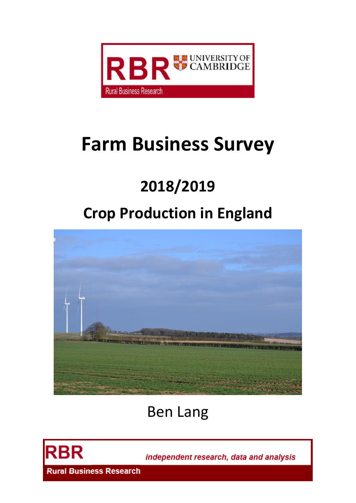

# **Farm Business Survey**

# **2018/2019**

# **Crop Production in England**



# Ben Lang



independent research, data and analysis

**Rural Business Research**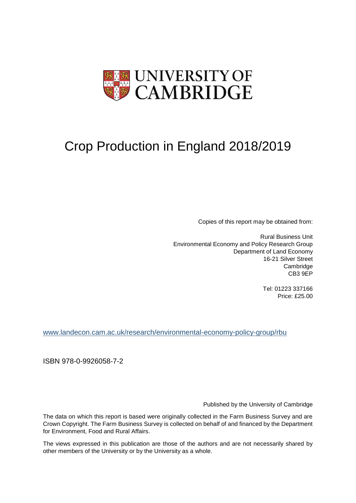

# Crop Production in England 2018/2019

Copies of this report may be obtained from:

Rural Business Unit Environmental Economy and Policy Research Group Department of Land Economy 16-21 Silver Street **Cambridge** CB3 9EP

> Tel: 01223 337166 Price: £25.00

[www.landecon.cam.ac.uk/research/environmental-economy-policy-group/rbu](http://www.landecon.cam.ac.uk/research/environmental-economy-policy-group/rbu)

ISBN 978-0-9926058-7-2

Published by the University of Cambridge

The data on which this report is based were originally collected in the Farm Business Survey and are Crown Copyright. The Farm Business Survey is collected on behalf of and financed by the Department for Environment, Food and Rural Affairs.

The views expressed in this publication are those of the authors and are not necessarily shared by other members of the University or by the University as a whole.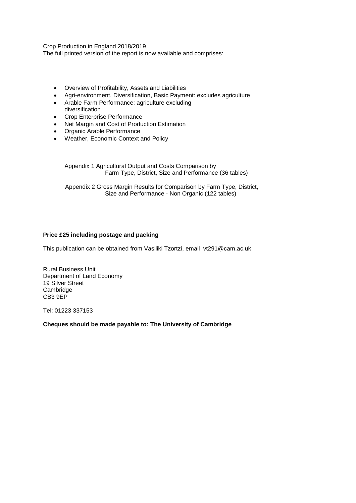Crop Production in England 2018/2019

The full printed version of the report is now available and comprises:

- Overview of Profitability, Assets and Liabilities
- Agri-environment, Diversification, Basic Payment: excludes agriculture
- Arable Farm Performance: agriculture excluding diversification
- Crop Enterprise Performance
- Net Margin and Cost of Production Estimation
- Organic Arable Performance
- Weather, Economic Context and Policy

Appendix 1 Agricultural Output and Costs Comparison by Farm Type, District, Size and Performance (36 tables)

Appendix 2 Gross Margin Results for Comparison by Farm Type, District, Size and Performance - Non Organic (122 tables)

# **Price £25 including postage and packing**

This publication can be obtained from Vasiliki Tzortzi, email vt291@cam.ac.uk

Rural Business Unit Department of Land Economy 19 Silver Street **Cambridge** CB3 9EP

Tel: 01223 337153

**Cheques should be made payable to: The University of Cambridge**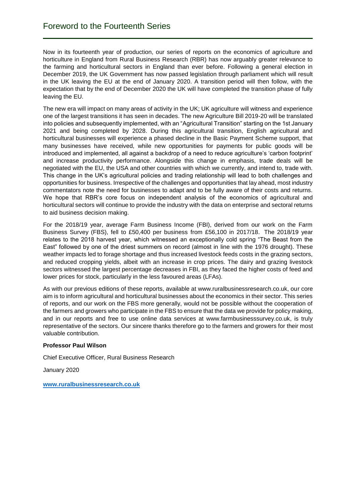Now in its fourteenth year of production, our series of reports on the economics of agriculture and horticulture in England from Rural Business Research (RBR) has now arguably greater relevance to the farming and horticultural sectors in England than ever before. Following a general election in December 2019, the UK Government has now passed legislation through parliament which will result in the UK leaving the EU at the end of January 2020. A transition period will then follow, with the expectation that by the end of December 2020 the UK will have completed the transition phase of fully leaving the EU.

The new era will impact on many areas of activity in the UK; UK agriculture will witness and experience one of the largest transitions it has seen in decades. The new Agriculture Bill 2019-20 will be translated into policies and subsequently implemented, with an "Agricultural Transition" starting on the 1st January 2021 and being completed by 2028. During this agricultural transition, English agricultural and horticultural businesses will experience a phased decline in the Basic Payment Scheme support, that many businesses have received, while new opportunities for payments for public goods will be introduced and implemented, all against a backdrop of a need to reduce agriculture's 'carbon footprint' and increase productivity performance. Alongside this change in emphasis, trade deals will be negotiated with the EU, the USA and other countries with which we currently, and intend to, trade with. This change in the UK's agricultural policies and trading relationship will lead to both challenges and opportunities for business. Irrespective of the challenges and opportunities that lay ahead, most industry commentators note the need for businesses to adapt and to be fully aware of their costs and returns. We hope that RBR's core focus on independent analysis of the economics of agricultural and horticultural sectors will continue to provide the industry with the data on enterprise and sectoral returns to aid business decision making.

For the 2018/19 year, average Farm Business Income (FBI), derived from our work on the Farm Business Survey (FBS), fell to £50,400 per business from £56,100 in 2017/18. The 2018/19 year relates to the 2018 harvest year, which witnessed an exceptionally cold spring "The Beast from the East" followed by one of the driest summers on record (almost in line with the 1976 drought). These weather impacts led to forage shortage and thus increased livestock feeds costs in the grazing sectors, and reduced cropping yields, albeit with an increase in crop prices. The dairy and grazing livestock sectors witnessed the largest percentage decreases in FBI, as they faced the higher costs of feed and lower prices for stock, particularly in the less favoured areas (LFAs).

As with our previous editions of these reports, available at www.ruralbusinessresearch.co.uk, our core aim is to inform agricultural and horticultural businesses about the economics in their sector. This series of reports, and our work on the FBS more generally, would not be possible without the cooperation of the farmers and growers who participate in the FBS to ensure that the data we provide for policy making, and in our reports and free to use online data services at www.farmbusinesssurvey.co.uk, is truly representative of the sectors. Our sincere thanks therefore go to the farmers and growers for their most valuable contribution.

# **Professor Paul Wilson**

Chief Executive Officer, Rural Business Research

January 2020

**[www.ruralbusinessresearch.co.uk](http://www.ruralbusinessresearch.co.uk/)**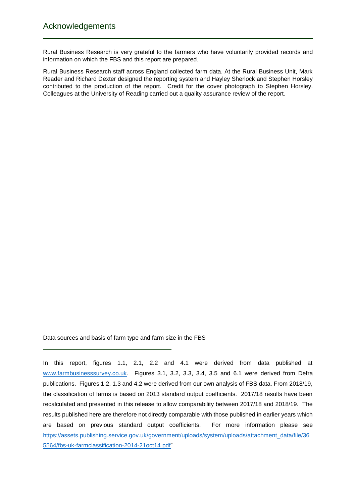Rural Business Research is very grateful to the farmers who have voluntarily provided records and information on which the FBS and this report are prepared.

Rural Business Research staff across England collected farm data. At the Rural Business Unit, Mark Reader and Richard Dexter designed the reporting system and Hayley Sherlock and Stephen Horsley contributed to the production of the report. Credit for the cover photograph to Stephen Horsley. Colleagues at the University of Reading carried out a quality assurance review of the report.

Data sources and basis of farm type and farm size in the FBS

In this report, figures 1.1, 2.1, 2.2 and 4.1 were derived from data published at [www.farmbusinesssurvey.co.uk.](http://www.farmbusinesssurvey.co.uk/) Figures 3.1, 3.2, 3.3, 3.4, 3.5 and 6.1 were derived from Defra publications. Figures 1.2, 1.3 and 4.2 were derived from our own analysis of FBS data. From 2018/19, the classification of farms is based on 2013 standard output coefficients. 2017/18 results have been recalculated and presented in this release to allow comparability between 2017/18 and 2018/19. The results published here are therefore not directly comparable with those published in earlier years which are based on previous standard output coefficients. For more information please see [https://assets.publishing.service.gov.uk/government/uploads/system/uploads/attachment\\_data/file/36](https://assets.publishing.service.gov.uk/government/uploads/system/uploads/attachment_data/file/365564/fbs-uk-farmclassification-2014-21oct14.pdf) [5564/fbs-uk-farmclassification-2014-21oct14.pdf"](https://assets.publishing.service.gov.uk/government/uploads/system/uploads/attachment_data/file/365564/fbs-uk-farmclassification-2014-21oct14.pdf)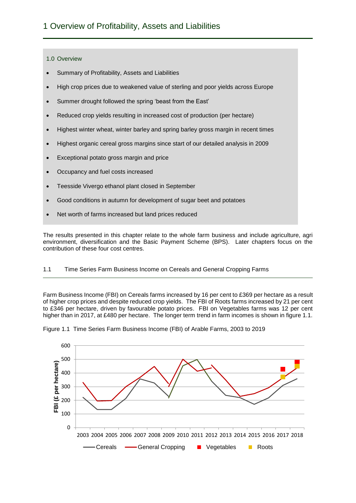# 1.0 Overview

- Summary of Profitability, Assets and Liabilities
- High crop prices due to weakened value of sterling and poor yields across Europe
- Summer drought followed the spring 'beast from the East'
- Reduced crop yields resulting in increased cost of production (per hectare)
- Highest winter wheat, winter barley and spring barley gross margin in recent times
- Highest organic cereal gross margins since start of our detailed analysis in 2009
- Exceptional potato gross margin and price
- Occupancy and fuel costs increased
- Teesside Vivergo ethanol plant closed in September
- Good conditions in autumn for development of sugar beet and potatoes
- Net worth of farms increased but land prices reduced

The results presented in this chapter relate to the whole farm business and include agriculture, agri environment, diversification and the Basic Payment Scheme (BPS). Later chapters focus on the contribution of these four cost centres.

# 1.1 Time Series Farm Business Income on Cereals and General Cropping Farms

Farm Business Income (FBI) on Cereals farms increased by 16 per cent to £369 per hectare as a result of higher crop prices and despite reduced crop yields. The FBI of Roots farms increased by 21 per cent to £346 per hectare, driven by favourable potato prices. FBI on Vegetables farms was 12 per cent higher than in 2017, at £480 per hectare. The longer term trend in farm incomes is shown in figure 1.1.



Figure 1.1 Time Series Farm Business Income (FBI) of Arable Farms, 2003 to 2019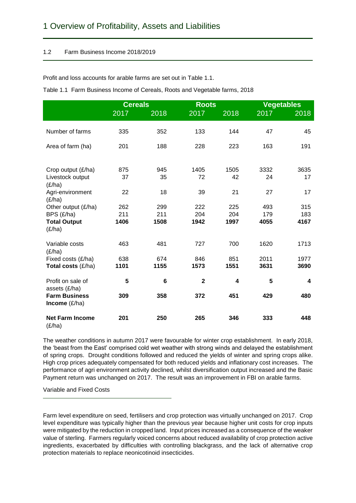# 1.2 Farm Business Income 2018/2019

Profit and loss accounts for arable farms are set out in Table 1.1.

|                                       | <b>Cereals</b> |      | <b>Roots</b>            |      | <b>Vegetables</b> |      |
|---------------------------------------|----------------|------|-------------------------|------|-------------------|------|
|                                       | 2017           | 2018 | 2017                    | 2018 | 2017              | 2018 |
|                                       |                |      |                         |      |                   |      |
| Number of farms                       | 335            | 352  | 133                     | 144  | 47                | 45   |
| Area of farm (ha)                     | 201            | 188  | 228                     | 223  | 163               | 191  |
|                                       |                |      |                         |      |                   |      |
| Crop output (£/ha)                    | 875            | 945  | 1405                    | 1505 | 3332              | 3635 |
| Livestock output<br>(E/ha)            | 37             | 35   | 72                      | 42   | 24                | 17   |
| Agri-environment                      | 22             | 18   | 39                      | 21   | 27                | 17   |
| (E/ha)                                |                |      |                         |      |                   |      |
| Other output (£/ha)                   | 262            | 299  | 222                     | 225  | 493               | 315  |
| BPS (£/ha)                            | 211            | 211  | 204                     | 204  | 179               | 183  |
| <b>Total Output</b>                   | 1406           | 1508 | 1942                    | 1997 | 4055              | 4167 |
| (E/ha)                                |                |      |                         |      |                   |      |
| Variable costs                        | 463            | 481  | 727                     | 700  | 1620              | 1713 |
| (E/ha)                                |                |      |                         |      |                   |      |
| Fixed costs (£/ha)                    | 638            | 674  | 846                     | 851  | 2011              | 1977 |
| Total costs (£/ha)                    | 1101           | 1155 | 1573                    | 1551 | 3631              | 3690 |
| Profit on sale of                     | 5              | 6    | $\overline{\mathbf{2}}$ | 4    | 5                 | 4    |
| assets (£/ha)<br><b>Farm Business</b> | 309            | 358  | 372                     | 451  | 429               | 480  |
| <b>Income</b> $(E/ha)$                |                |      |                         |      |                   |      |
| <b>Net Farm Income</b>                | 201            | 250  | 265                     | 346  | 333               | 448  |
| (E/ha)                                |                |      |                         |      |                   |      |

Table 1.1 Farm Business Income of Cereals, Roots and Vegetable farms, 2018

The weather conditions in autumn 2017 were favourable for winter crop establishment. In early 2018, the 'beast from the East' comprised cold wet weather with strong winds and delayed the establishment of spring crops. Drought conditions followed and reduced the yields of winter and spring crops alike. High crop prices adequately compensated for both reduced yields and inflationary cost increases. The performance of agri environment activity declined, whilst diversification output increased and the Basic Payment return was unchanged on 2017. The result was an improvement in FBI on arable farms.

Variable and Fixed Costs

Farm level expenditure on seed, fertilisers and crop protection was virtually unchanged on 2017. Crop level expenditure was typically higher than the previous year because higher unit costs for crop inputs were mitigated by the reduction in cropped land. Input prices increased as a consequence of the weaker value of sterling. Farmers regularly voiced concerns about reduced availability of crop protection active ingredients, exacerbated by difficulties with controlling blackgrass, and the lack of alternative crop protection materials to replace neonicotinoid insecticides.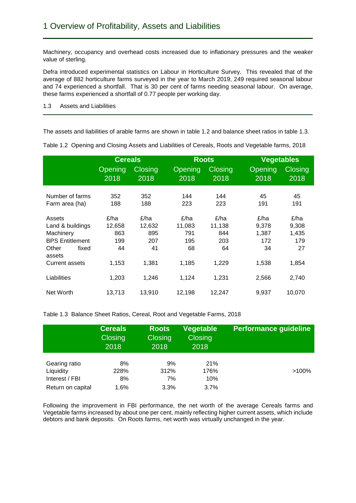Machinery, occupancy and overhead costs increased due to inflationary pressures and the weaker value of sterling.

Defra introduced experimental statistics on Labour in Horticulture Survey. This revealed that of the average of 882 horticulture farms surveyed in the year to March 2019, 249 required seasonal labour and 74 experienced a shortfall. That is 30 per cent of farms needing seasonal labour. On average, these farms experienced a shortfall of 0.77 people per working day.

1.3 Assets and Liabilities

The assets and liabilities of arable farms are shown in table 1.2 and balance sheet ratios in table 1.3.

Table 1.2 Opening and Closing Assets and Liabilities of Cereals, Roots and Vegetable farms, 2018 **Cereals Roots Vegetables**

|                                   | Cereals         |                        | <b>Roots</b>           |                        | Vegetables      |                        |
|-----------------------------------|-----------------|------------------------|------------------------|------------------------|-----------------|------------------------|
|                                   | Opening<br>2018 | <b>Closing</b><br>2018 | <b>Opening</b><br>2018 | <b>Closing</b><br>2018 | Opening<br>2018 | <b>Closing</b><br>2018 |
| Number of farms<br>Farm area (ha) | 352<br>188      | 352<br>188             | 144<br>223             | 144<br>223             | 45<br>191       | 45<br>191              |
| Assets                            | £/ha            | £/ha                   | £/ha                   | £/ha                   | £/ha            | £/ha                   |
| Land & buildings                  | 12,658          | 12,632                 | 11,083                 | 11,138                 | 9,378           | 9,308                  |
| Machinery                         | 863             | 895                    | 791                    | 844                    | 1,387           | 1,435                  |
| <b>BPS Entitlement</b>            | 199             | 207                    | 195                    | 203                    | 172             | 179                    |
| Other<br>fixed<br>assets          | 44              | 41                     | 68                     | 64                     | 34              | 27                     |
| <b>Current assets</b>             | 1,153           | 1,381                  | 1,185                  | 1,229                  | 1,538           | 1,854                  |
| Liabilities                       | 1,203           | 1,246                  | 1,124                  | 1,231                  | 2,566           | 2,740                  |
| Net Worth                         | 13,713          | 13,910                 | 12,198                 | 12,247                 | 9,937           | 10,070                 |

Table 1.3 Balance Sheet Ratios, Cereal, Root and Vegetable Farms, 2018

|                   | <b>Cereals</b><br>Closing<br>2018 | <b>Roots</b><br><b>Closing</b><br>2018 | <b>Vegetable</b><br>Closing<br>2018 | <b>Performance guideline</b> |
|-------------------|-----------------------------------|----------------------------------------|-------------------------------------|------------------------------|
| Gearing ratio     | 8%                                | 9%                                     | 21%                                 | $>100\%$                     |
| Liquidity         | 228%                              | 312%                                   | 176%                                |                              |
| Interest / FBI    | 8%                                | 7%                                     | 10%                                 |                              |
| Return on capital | 1.6%                              | 3.3%                                   | 3.7%                                |                              |

Following the improvement in FBI performance, the net worth of the average Cereals farms and Vegetable farms increased by about one per cent, mainly reflecting higher current assets, which include debtors and bank deposits. On Roots farms, net worth was virtually unchanged in the year.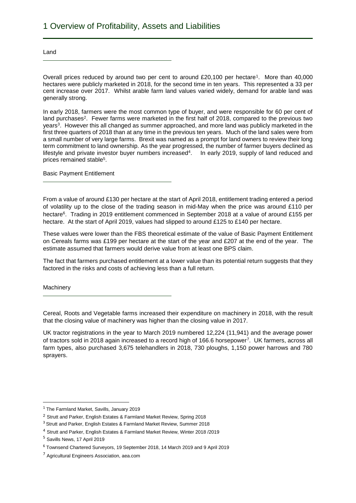Land

Overall prices reduced by around two per cent to around £20,100 per hectare<sup>1</sup>. More than 40,000 hectares were publicly marketed in 2018, for the second time in ten years. This represented a 33 per cent increase over 2017. Whilst arable farm land values varied widely, demand for arable land was generally strong.

In early 2018, farmers were the most common type of buyer, and were responsible for 60 per cent of land purchases<sup>2</sup>. Fewer farms were marketed in the first half of 2018, compared to the previous two years<sup>3</sup>. However this all changed as summer approached, and more land was publicly marketed in the first three quarters of 2018 than at any time in the previous ten years. Much of the land sales were from a small number of very large farms. Brexit was named as a prompt for land owners to review their long term commitment to land ownership. As the year progressed, the number of farmer buyers declined as lifestyle and private investor buyer numbers increased<sup>4</sup>. In early 2019, supply of land reduced and prices remained stable<sup>5</sup>.

Basic Payment Entitlement

From a value of around £130 per hectare at the start of April 2018, entitlement trading entered a period of volatility up to the close of the trading season in mid-May when the price was around £110 per hectare<sup>6</sup>. Trading in 2019 entitlement commenced in September 2018 at a value of around £155 per hectare. At the start of April 2019, values had slipped to around £125 to £140 per hectare.

These values were lower than the FBS theoretical estimate of the value of Basic Payment Entitlement on Cereals farms was £199 per hectare at the start of the year and £207 at the end of the year. The estimate assumed that farmers would derive value from at least one BPS claim.

The fact that farmers purchased entitlement at a lower value than its potential return suggests that they factored in the risks and costs of achieving less than a full return.

**Machinery** 

 $\overline{a}$ 

Cereal, Roots and Vegetable farms increased their expenditure on machinery in 2018, with the result that the closing value of machinery was higher than the closing value in 2017.

UK tractor registrations in the year to March 2019 numbered 12,224 (11,941) and the average power of tractors sold in 2018 again increased to a record high of 166.6 horsepower<sup>7</sup>. UK farmers, across all farm types, also purchased 3,675 telehandlers in 2018, 730 ploughs, 1,150 power harrows and 780 sprayers.

<sup>&</sup>lt;sup>1</sup> The Farmland Market, Savills, January 2019

<sup>&</sup>lt;sup>2</sup> Strutt and Parker, English Estates & Farmland Market Review, Spring 2018

<sup>3</sup> Strutt and Parker, English Estates & Farmland Market Review, Summer 2018

<sup>4</sup> Strutt and Parker, English Estates & Farmland Market Review, Winter 2018 /2019

<sup>5</sup> Savills News, 17 April 2019

<sup>6</sup> Townsend Chartered Surveyors, 19 September 2018, 14 March 2019 and 9 April 2019

<sup>7</sup> Agricultural Engineers Association, aea.com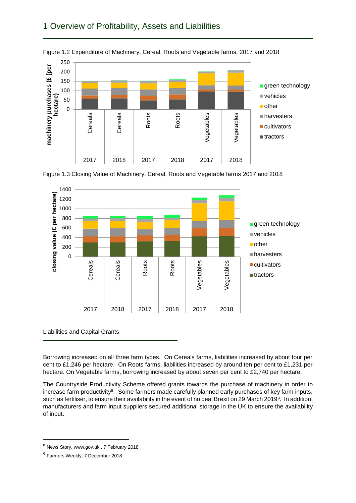# 1 Overview of Profitability, Assets and Liabilities



Figure 1.2 Expenditure of Machinery, Cereal, Roots and Vegetable farms, 2017 and 2018





Liabilities and Capital Grants

Borrowing increased on all three farm types. On Cereals farms, liabilities increased by about four per cent to £1,246 per hectare. On Roots farms, liabilities increased by around ten per cent to £1,231 per hectare. On Vegetable farms, borrowing increased by about seven per cent to £2,740 per hectare.

The Countryside Productivity Scheme offered grants towards the purchase of machinery in order to increase farm productivity<sup>8</sup>. Some farmers made carefully planned early purchases of key farm inputs, such as fertiliser, to ensure their availability in the event of no deal Brexit on 29 March 2019<sup>9</sup>. In addition, manufacturers and farm input suppliers secured additional storage in the UK to ensure the availability of input.

1

<sup>8</sup> News Story, www.gov.uk , 7 February 2018

<sup>&</sup>lt;sup>9</sup> Farmers Weekly, 7 December 2018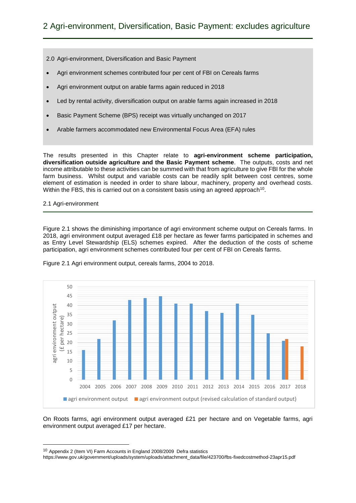2.0 Agri-environment, Diversification and Basic Payment

- Agri environment schemes contributed four per cent of FBI on Cereals farms
- Agri environment output on arable farms again reduced in 2018
- Led by rental activity, diversification output on arable farms again increased in 2018
- Basic Payment Scheme (BPS) receipt was virtually unchanged on 2017
- Arable farmers accommodated new Environmental Focus Area (EFA) rules

The results presented in this Chapter relate to **agri-environment scheme participation, diversification outside agriculture and the Basic Payment scheme**. The outputs, costs and net income attributable to these activities can be summed with that from agriculture to give FBI for the whole farm business. Whilst output and variable costs can be readily split between cost centres, some element of estimation is needed in order to share labour, machinery, property and overhead costs. Within the FBS, this is carried out on a consistent basis using an agreed approach<sup>10</sup>.

# 2.1 Agri-environment

1

Figure 2.1 shows the diminishing importance of agri environment scheme output on Cereals farms. In 2018, agri environment output averaged £18 per hectare as fewer farms participated in schemes and as Entry Level Stewardship (ELS) schemes expired. After the deduction of the costs of scheme participation, agri environment schemes contributed four per cent of FBI on Cereals farms.



Figure 2.1 Agri environment output, cereals farms, 2004 to 2018.

On Roots farms, agri environment output averaged £21 per hectare and on Vegetable farms, agri environment output averaged £17 per hectare.

<sup>10</sup> Appendix 2 (Item VI) Farm Accounts in England 2008/2009 Defra statistics

https://www.gov.uk/government/uploads/system/uploads/attachment\_data/file/423700/fbs-fixedcostmethod-23apr15.pdf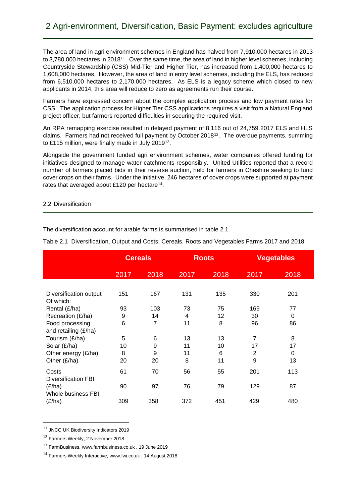The area of land in agri environment schemes in England has halved from 7,910,000 hectares in 2013 to 3,780,000 hectares in 2018<sup>11</sup>. Over the same time, the area of land in higher level schemes, including Countryside Stewardship (CSS) Mid-Tier and Higher Tier, has increased from 1,400,000 hectares to 1,608,000 hectares. However, the area of land in entry level schemes, including the ELS, has reduced from 6,510,000 hectares to 2,170,000 hectares. As ELS is a legacy scheme which closed to new applicants in 2014, this area will reduce to zero as agreements run their course.

Farmers have expressed concern about the complex application process and low payment rates for CSS. The application process for Higher Tier CSS applications requires a visit from a Natural England project officer, but farmers reported difficulties in securing the required visit.

An RPA remapping exercise resulted in delayed payment of 8,116 out of 24,759 2017 ELS and HLS claims. Farmers had not received full payment by October 2018<sup>12</sup>. The overdue payments, summing to £115 million, were finally made in July 2019<sup>13</sup>.

Alongside the government funded agri environment schemes, water companies offered funding for initiatives designed to manage water catchments responsibly. United Utilities reported that a record number of farmers placed bids in their reverse auction, held for farmers in Cheshire seeking to fund cover crops on their farms. Under the initiative, 246 hectares of cover crops were supported at payment rates that averaged about £120 per hectare<sup>14</sup>.

# 2.2 Diversification

|                                         | <b>Cereals</b> |      | <b>Roots</b> |      | <b>Vegetables</b> |          |
|-----------------------------------------|----------------|------|--------------|------|-------------------|----------|
|                                         | 2017           | 2018 | 2017         | 2018 | 2017              | 2018     |
|                                         |                |      |              |      |                   |          |
| Diversification output<br>Of which:     | 151            | 167  | 131          | 135  | 330               | 201      |
| Rental (£/ha)                           | 93             | 103  | 73           | 75   | 169               | 77       |
| Recreation (£/ha)                       | 9              | 14   | 4            | 12   | 30                | $\Omega$ |
| Food processing<br>and retailing (£/ha) | 6              | 7    | 11           | 8    | 96                | 86       |
| Tourism (£/ha)                          | 5              | 6    | 13           | 13   | $\overline{7}$    | 8        |
| Solar (£/ha)                            | 10             | 9    | 11           | 10   | 17                | 17       |
| Other energy (£/ha)                     | 8              | 9    | 11           | 6    | 2                 | $\Omega$ |
| Other (£/ha)                            | 20             | 20   | 8            | 11   | 9                 | 13       |
| Costs<br><b>Diversification FBI</b>     | 61             | 70   | 56           | 55   | 201               | 113      |
| (E/ha)<br>Whole business FBI            | 90             | 97   | 76           | 79   | 129               | 87       |
| (E/ha)                                  | 309            | 358  | 372          | 451  | 429               | 480      |

Table 2.1 Diversification, Output and Costs, Cereals, Roots and Vegetables Farms 2017 and 2018

The diversification account for arable farms is summarised in table 2.1.

<sup>11</sup> JNCC UK Biodiversity Indicators 2019

<sup>12</sup> Farmers Weekly, 2 November 2018

**.** 

<sup>13</sup> FarmBusiness, www.farmbusiness.co.uk , 19 June 2019

<sup>14</sup> Farmers Weekly Interactive, www.fwi.co.uk , 14 August 2018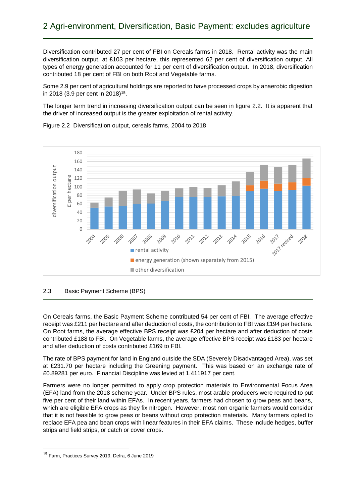Diversification contributed 27 per cent of FBI on Cereals farms in 2018. Rental activity was the main diversification output, at £103 per hectare, this represented 62 per cent of diversification output. All types of energy generation accounted for 11 per cent of diversification output. In 2018, diversification contributed 18 per cent of FBI on both Root and Vegetable farms.

Some 2.9 per cent of agricultural holdings are reported to have processed crops by anaerobic digestion in 2018 (3.9 per cent in 2018)<sup>15</sup>.

The longer term trend in increasing diversification output can be seen in figure 2.2. It is apparent that the driver of increased output is the greater exploitation of rental activity.



Figure 2.2 Diversification output, cereals farms, 2004 to 2018

# 2.3 Basic Payment Scheme (BPS)

On Cereals farms, the Basic Payment Scheme contributed 54 per cent of FBI. The average effective receipt was £211 per hectare and after deduction of costs, the contribution to FBI was £194 per hectare. On Root farms, the average effective BPS receipt was £204 per hectare and after deduction of costs contributed £188 to FBI. On Vegetable farms, the average effective BPS receipt was £183 per hectare and after deduction of costs contributed £169 to FBI.

The rate of BPS payment for land in England outside the SDA (Severely Disadvantaged Area), was set at £231.70 per hectare including the Greening payment. This was based on an exchange rate of £0.89281 per euro. Financial Discipline was levied at 1.411917 per cent.

Farmers were no longer permitted to apply crop protection materials to Environmental Focus Area (EFA) land from the 2018 scheme year. Under BPS rules, most arable producers were required to put five per cent of their land within EFAs. In recent years, farmers had chosen to grow peas and beans, which are eligible EFA crops as they fix nitrogen. However, most non organic farmers would consider that it is not feasible to grow peas or beans without crop protection materials. Many farmers opted to replace EFA pea and bean crops with linear features in their EFA claims. These include hedges, buffer strips and field strips, or catch or cover crops.

<sup>15</sup> Farm, Practices Survey 2019, Defra, 6 June 2019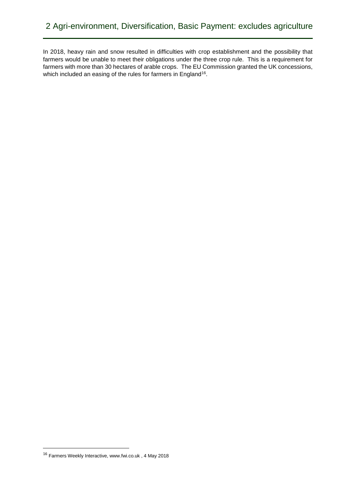In 2018, heavy rain and snow resulted in difficulties with crop establishment and the possibility that farmers would be unable to meet their obligations under the three crop rule. This is a requirement for farmers with more than 30 hectares of arable crops. The EU Commission granted the UK concessions, which included an easing of the rules for farmers in England<sup>16</sup>.

<sup>16</sup> Farmers Weekly Interactive, www.fwi.co.uk , 4 May 2018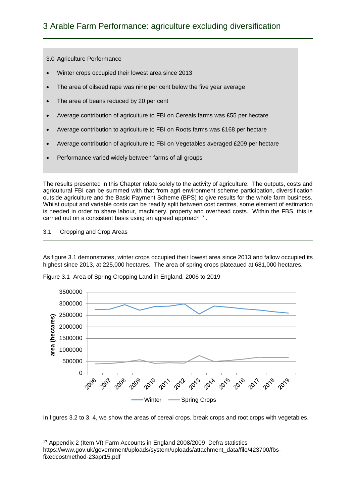3.0 Agriculture Performance

- Winter crops occupied their lowest area since 2013
- The area of oilseed rape was nine per cent below the five year average
- The area of beans reduced by 20 per cent
- Average contribution of agriculture to FBI on Cereals farms was £55 per hectare.
- Average contribution to agriculture to FBI on Roots farms was £168 per hectare
- Average contribution of agriculture to FBI on Vegetables averaged £209 per hectare
- Performance varied widely between farms of all groups

The results presented in this Chapter relate solely to the activity of agriculture. The outputs, costs and agricultural FBI can be summed with that from agri environment scheme participation, diversification outside agriculture and the Basic Payment Scheme (BPS) to give results for the whole farm business. Whilst output and variable costs can be readily split between cost centres, some element of estimation is needed in order to share labour, machinery, property and overhead costs. Within the FBS, this is carried out on a consistent basis using an agreed approach<sup>17</sup>.

# 3.1 Cropping and Crop Areas

 $\overline{\phantom{a}}$ 

As figure 3.1 demonstrates, winter crops occupied their lowest area since 2013 and fallow occupied its highest since 2013, at 225,000 hectares. The area of spring crops plateaued at 681,000 hectares.



Figure 3.1 Area of Spring Cropping Land in England, 2006 to 2019

In figures 3.2 to 3. 4, we show the areas of cereal crops, break crops and root crops with vegetables.

<sup>17</sup> Appendix 2 (Item VI) Farm Accounts in England 2008/2009 Defra statistics

https://www.gov.uk/government/uploads/system/uploads/attachment\_data/file/423700/fbsfixedcostmethod-23apr15.pdf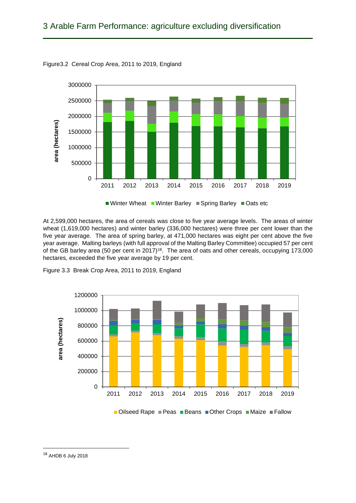

Figure3.2 Cereal Crop Area, 2011 to 2019, England

At 2,599,000 hectares, the area of cereals was close to five year average levels. The areas of winter wheat (1,619,000 hectares) and winter barley (336,000 hectares) were three per cent lower than the five year average. The area of spring barley, at 471,000 hectares was eight per cent above the five year average. Malting barleys (with full approval of the Malting Barley Committee) occupied 57 per cent of the GB barley area (50 per cent in 2017)<sup>18</sup>. The area of oats and other cereals, occupying 173,000 hectares, exceeded the five year average by 19 per cent.



Figure 3.3 Break Crop Area, 2011 to 2019, England

■Oilseed Rape ■ Peas ■ Beans ■ Other Crops ■ Maize ■ Fallow

<sup>18</sup> AHDB 6 July 2018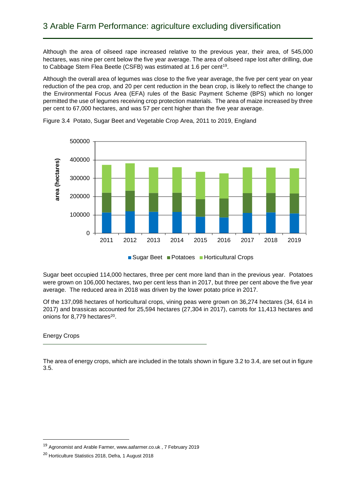Although the area of oilseed rape increased relative to the previous year, their area, of 545,000 hectares, was nine per cent below the five year average. The area of oilseed rape lost after drilling, due to Cabbage Stem Flea Beetle (CSFB) was estimated at 1.6 per cent<sup>19</sup>.

Although the overall area of legumes was close to the five year average, the five per cent year on year reduction of the pea crop, and 20 per cent reduction in the bean crop, is likely to reflect the change to the Environmental Focus Area (EFA) rules of the Basic Payment Scheme (BPS) which no longer permitted the use of legumes receiving crop protection materials. The area of maize increased by three per cent to 67,000 hectares, and was 57 per cent higher than the five year average.



Figure 3.4 Potato, Sugar Beet and Vegetable Crop Area, 2011 to 2019, England

Sugar beet occupied 114,000 hectares, three per cent more land than in the previous year. Potatoes were grown on 106,000 hectares, two per cent less than in 2017, but three per cent above the five year average. The reduced area in 2018 was driven by the lower potato price in 2017.

Of the 137,098 hectares of horticultural crops, vining peas were grown on 36,274 hectares (34, 614 in 2017) and brassicas accounted for 25,594 hectares (27,304 in 2017), carrots for 11,413 hectares and onions for 8,779 hectares<sup>20</sup>.

#### Energy Crops

1

The area of energy crops, which are included in the totals shown in figure 3.2 to 3.4, are set out in figure 3.5.

<sup>19</sup> Agronomist and Arable Farmer, www.aafarmer.co.uk , 7 February 2019

<sup>20</sup> Horticulture Statistics 2018, Defra, 1 August 2018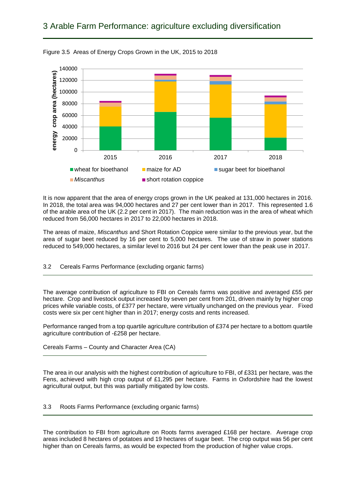# 3 Arable Farm Performance: agriculture excluding diversification



Figure 3.5 Areas of Energy Crops Grown in the UK, 2015 to 2018

It is now apparent that the area of energy crops grown in the UK peaked at 131,000 hectares in 2016. In 2018, the total area was 94,000 hectares and 27 per cent lower than in 2017. This represented 1.6 of the arable area of the UK (2.2 per cent in 2017). The main reduction was in the area of wheat which reduced from 56,000 hectares in 2017 to 22,000 hectares in 2018.

The areas of maize, *Miscanthus* and Short Rotation Coppice were similar to the previous year, but the area of sugar beet reduced by 16 per cent to 5,000 hectares. The use of straw in power stations reduced to 549,000 hectares, a similar level to 2016 but 24 per cent lower than the peak use in 2017.

3.2 Cereals Farms Performance (excluding organic farms)

The average contribution of agriculture to FBI on Cereals farms was positive and averaged £55 per hectare. Crop and livestock output increased by seven per cent from 201, driven mainly by higher crop prices while variable costs, of £377 per hectare, were virtually unchanged on the previous year. Fixed costs were six per cent higher than in 2017; energy costs and rents increased.

Performance ranged from a top quartile agriculture contribution of £374 per hectare to a bottom quartile agriculture contribution of -£258 per hectare.

Cereals Farms – County and Character Area (CA)

The area in our analysis with the highest contribution of agriculture to FBI, of £331 per hectare, was the Fens, achieved with high crop output of £1,295 per hectare. Farms in Oxfordshire had the lowest agricultural output, but this was partially mitigated by low costs.

3.3 Roots Farms Performance (excluding organic farms)

The contribution to FBI from agriculture on Roots farms averaged £168 per hectare. Average crop areas included 8 hectares of potatoes and 19 hectares of sugar beet. The crop output was 56 per cent higher than on Cereals farms, as would be expected from the production of higher value crops.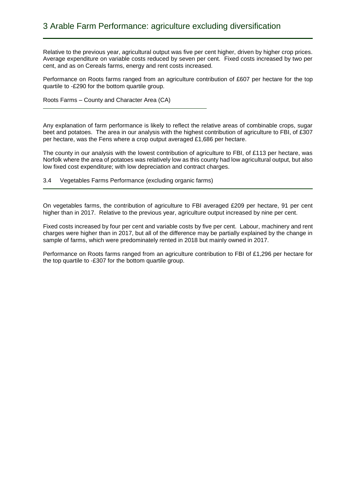Relative to the previous year, agricultural output was five per cent higher, driven by higher crop prices. Average expenditure on variable costs reduced by seven per cent. Fixed costs increased by two per cent, and as on Cereals farms, energy and rent costs increased.

Performance on Roots farms ranged from an agriculture contribution of £607 per hectare for the top quartile to -£290 for the bottom quartile group.

Roots Farms – County and Character Area (CA)

Any explanation of farm performance is likely to reflect the relative areas of combinable crops, sugar beet and potatoes. The area in our analysis with the highest contribution of agriculture to FBI, of £307 per hectare, was the Fens where a crop output averaged  $£1,686$  per hectare.

The county in our analysis with the lowest contribution of agriculture to FBI, of £113 per hectare, was Norfolk where the area of potatoes was relatively low as this county had low agricultural output, but also low fixed cost expenditure; with low depreciation and contract charges.

3.4 Vegetables Farms Performance (excluding organic farms)

On vegetables farms, the contribution of agriculture to FBI averaged £209 per hectare, 91 per cent higher than in 2017. Relative to the previous year, agriculture output increased by nine per cent.

Fixed costs increased by four per cent and variable costs by five per cent. Labour, machinery and rent charges were higher than in 2017, but all of the difference may be partially explained by the change in sample of farms, which were predominately rented in 2018 but mainly owned in 2017.

Performance on Roots farms ranged from an agriculture contribution to FBI of £1,296 per hectare for the top quartile to -£307 for the bottom quartile group.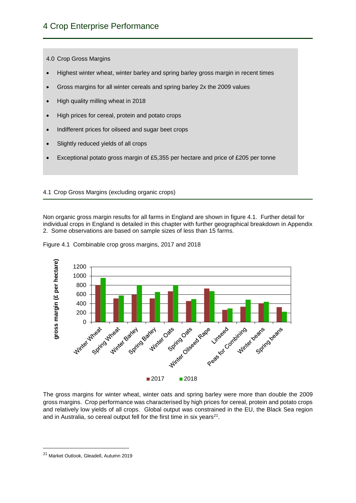4.0 Crop Gross Margins

- Highest winter wheat, winter barley and spring barley gross margin in recent times
- Gross margins for all winter cereals and spring barley 2x the 2009 values
- High quality milling wheat in 2018
- High prices for cereal, protein and potato crops
- Indifferent prices for oilseed and sugar beet crops
- Slightly reduced yields of all crops
- Exceptional potato gross margin of £5,355 per hectare and price of £205 per tonne

# 4.1 Crop Gross Margins (excluding organic crops)

Non organic gross margin results for all farms in England are shown in figure 4.1. Further detail for individual crops in England is detailed in this chapter with further geographical breakdown in Appendix 2. Some observations are based on sample sizes of less than 15 farms.



Figure 4.1 Combinable crop gross margins, 2017 and 2018

The gross margins for winter wheat, winter oats and spring barley were more than double the 2009 gross margins. Crop performance was characterised by high prices for cereal, protein and potato crops and relatively low yields of all crops. Global output was constrained in the EU, the Black Sea region and in Australia, so cereal output fell for the first time in six years<sup>21</sup>.

<sup>21</sup> Market Outlook, Gleadell, Autumn 2019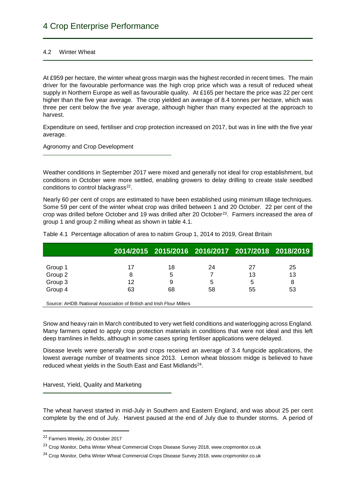# 4.2 Winter Wheat

At £959 per hectare, the winter wheat gross margin was the highest recorded in recent times. The main driver for the favourable performance was the high crop price which was a result of reduced wheat supply in Northern Europe as well as favourable quality. At £165 per hectare the price was 22 per cent higher than the five year average. The crop yielded an average of 8.4 tonnes per hectare, which was three per cent below the five year average, although higher than many expected at the approach to harvest.

Expenditure on seed, fertiliser and crop protection increased on 2017, but was in line with the five year average.

Agronomy and Crop Development

Weather conditions in September 2017 were mixed and generally not ideal for crop establishment, but conditions in October were more settled, enabling growers to delay drilling to create stale seedbed conditions to control blackgrass<sup>22</sup>.

Nearly 60 per cent of crops are estimated to have been established using minimum tillage techniques. Some 59 per cent of the winter wheat crop was drilled between 1 and 20 October. 22 per cent of the crop was drilled before October and 19 was drilled after 20 October<sup>23</sup>. Farmers increased the area of group 1 and group 2 milling wheat as shown in table 4.1.

|                                                                       |    |    | 2014/2015 2015/2016 2016/2017 2017/2018 2018/2019 |    |    |  |  |
|-----------------------------------------------------------------------|----|----|---------------------------------------------------|----|----|--|--|
|                                                                       |    |    |                                                   |    |    |  |  |
| Group 1                                                               | 17 | 18 | 24                                                | 27 | 25 |  |  |
| Group 2                                                               | 8  | 5  |                                                   | 13 | 13 |  |  |
| Group 3                                                               | 12 | 9  | 5                                                 | 5  | 8  |  |  |
| Group 4                                                               | 63 | 68 | 58                                                | 55 | 53 |  |  |
|                                                                       |    |    |                                                   |    |    |  |  |
| Source: AHDB /National Association of British and Irish Flour Millers |    |    |                                                   |    |    |  |  |

Table 4.1 Percentage allocation of area to nabim Group 1, 2014 to 2019, Great Britain

Snow and heavy rain in March contributed to very wet field conditions and waterlogging across England. Many farmers opted to apply crop protection materials in conditions that were not ideal and this left deep tramlines in fields, although in some cases spring fertiliser applications were delayed.

Disease levels were generally low and crops received an average of 3.4 fungicide applications, the lowest average number of treatments since 2013. Lemon wheat blossom midge is believed to have reduced wheat yields in the South East and East Midlands<sup>24</sup>.

Harvest, Yield, Quality and Marketing

The wheat harvest started in mid-July in Southern and Eastern England, and was about 25 per cent complete by the end of July. Harvest paused at the end of July due to thunder storms. A period of

<sup>22</sup> Farmers Weekly, 20 October 2017

<sup>&</sup>lt;sup>23</sup> Crop Monitor, Defra Winter Wheat Commercial Crops Disease Survey 2018, www.cropmonitor.co.uk

<sup>&</sup>lt;sup>24</sup> Crop Monitor, Defra Winter Wheat Commercial Crops Disease Survey 2018, www.cropmonitor.co.uk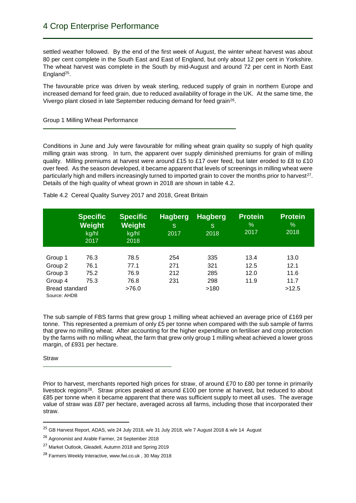settled weather followed. By the end of the first week of August, the winter wheat harvest was about 80 per cent complete in the South East and East of England, but only about 12 per cent in Yorkshire. The wheat harvest was complete in the South by mid-August and around 72 per cent in North East England<sup>25</sup>.

The favourable price was driven by weak sterling, reduced supply of grain in northern Europe and increased demand for feed grain, due to reduced availability of forage in the UK. At the same time, the Vivergo plant closed in late September reducing demand for feed grain<sup>26</sup>.

Group 1 Milling Wheat Performance

Conditions in June and July were favourable for milling wheat grain quality so supply of high quality milling grain was strong. In turn, the apparent over supply diminished premiums for grain of milling quality. Milling premiums at harvest were around £15 to £17 over feed, but later eroded to £8 to £10 over feed. As the season developed, it became apparent that levels of screenings in milling wheat were particularly high and millers increasingly turned to imported grain to cover the months prior to harvest<sup>27</sup>. Details of the high quality of wheat grown in 2018 are shown in table 4.2.

|                                       | <b>Specific</b><br>Weight<br>kg/hl<br>2017 | <b>Specific</b><br>Weight<br>kg/hl<br>2018 | <b>Hagberg</b><br>S.<br>2017 | <b>Hagberg</b><br>S<br>2018 | <b>Protein</b><br>$\%$<br>2017 | <b>Protein</b><br>$\%$<br>2018 |
|---------------------------------------|--------------------------------------------|--------------------------------------------|------------------------------|-----------------------------|--------------------------------|--------------------------------|
| Group 1                               | 76.3                                       | 78.5                                       | 254                          | 335                         | 13.4                           | 13.0                           |
| Group 2                               | 76.1                                       | 77.1                                       | 271                          | 321                         | 12.5                           | 12.1                           |
| Group 3                               | 75.2                                       | 76.9                                       | 212                          | 285                         | 12.0                           | 11.6                           |
| Group 4                               | 75.3                                       | 76.8                                       | 231                          | 298                         | 11.9                           | 11.7                           |
| <b>Bread standard</b><br>Source: AHDB |                                            | >76.0                                      |                              | >180                        |                                | >12.5                          |

Table 4.2 Cereal Quality Survey 2017 and 2018, Great Britain

The sub sample of FBS farms that grew group 1 milling wheat achieved an average price of £169 per tonne. This represented a premium of only £5 per tonne when compared with the sub sample of farms that grew no milling wheat. After accounting for the higher expenditure on fertiliser and crop protection by the farms with no milling wheat, the farm that grew only group 1 milling wheat achieved a lower gross margin, of £931 per hectare.

# **Straw**

**.** 

Prior to harvest, merchants reported high prices for straw, of around £70 to £80 per tonne in primarily livestock regions<sup>28</sup>. Straw prices peaked at around £100 per tonne at harvest, but reduced to about £85 per tonne when it became apparent that there was sufficient supply to meet all uses. The average value of straw was £87 per hectare, averaged across all farms, including those that incorporated their straw.

<sup>25</sup> GB Harvest Report, ADAS, w/e 24 July 2018, w/e 31 July 2018, w/e 7 August 2018 & w/e 14 August

<sup>&</sup>lt;sup>26</sup> Agronomist and Arable Farmer, 24 September 2018

<sup>&</sup>lt;sup>27</sup> Market Outlook, Gleadell, Autumn 2018 and Spring 2019

<sup>28</sup> Farmers Weekly Interactive, www.fwi.co.uk , 30 May 2018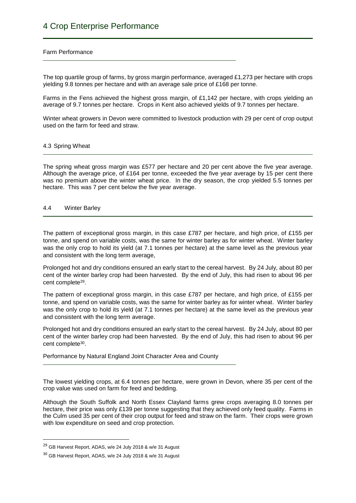#### Farm Performance

The top quartile group of farms, by gross margin performance, averaged £1,273 per hectare with crops yielding 9.8 tonnes per hectare and with an average sale price of £168 per tonne.

Farms in the Fens achieved the highest gross margin, of £1,142 per hectare, with crops yielding an average of 9.7 tonnes per hectare. Crops in Kent also achieved yields of 9.7 tonnes per hectare.

Winter wheat growers in Devon were committed to livestock production with 29 per cent of crop output used on the farm for feed and straw.

#### 4.3 Spring Wheat

The spring wheat gross margin was £577 per hectare and 20 per cent above the five year average. Although the average price, of £164 per tonne, exceeded the five year average by 15 per cent there was no premium above the winter wheat price. In the dry season, the crop yielded 5.5 tonnes per hectare. This was 7 per cent below the five year average.

#### 4.4 Winter Barley

The pattern of exceptional gross margin, in this case £787 per hectare, and high price, of £155 per tonne, and spend on variable costs, was the same for winter barley as for winter wheat. Winter barley was the only crop to hold its yield (at 7.1 tonnes per hectare) at the same level as the previous year and consistent with the long term average,

Prolonged hot and dry conditions ensured an early start to the cereal harvest. By 24 July, about 80 per cent of the winter barley crop had been harvested. By the end of July, this had risen to about 96 per cent complete<sup>29</sup>.

The pattern of exceptional gross margin, in this case £787 per hectare, and high price, of £155 per tonne, and spend on variable costs, was the same for winter barley as for winter wheat. Winter barley was the only crop to hold its yield (at 7.1 tonnes per hectare) at the same level as the previous year and consistent with the long term average.

Prolonged hot and dry conditions ensured an early start to the cereal harvest. By 24 July, about 80 per cent of the winter barley crop had been harvested. By the end of July, this had risen to about 96 per cent complete<sup>30</sup>.

Performance by Natural England Joint Character Area and County

The lowest yielding crops, at 6.4 tonnes per hectare, were grown in Devon, where 35 per cent of the crop value was used on farm for feed and bedding.

Although the South Suffolk and North Essex Clayland farms grew crops averaging 8.0 tonnes per hectare, their price was only £139 per tonne suggesting that they achieved only feed quality. Farms in the Culm used 35 per cent of their crop output for feed and straw on the farm. Their crops were grown with low expenditure on seed and crop protection.

1

<sup>&</sup>lt;sup>29</sup> GB Harvest Report, ADAS, w/e 24 July 2018 & w/e 31 August

<sup>30</sup> GB Harvest Report, ADAS, w/e 24 July 2018 & w/e 31 August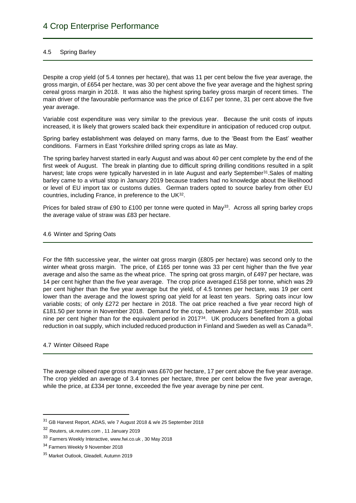# 4.5 Spring Barley

Despite a crop yield (of 5.4 tonnes per hectare), that was 11 per cent below the five year average, the gross margin, of £654 per hectare, was 30 per cent above the five year average and the highest spring cereal gross margin in 2018. It was also the highest spring barley gross margin of recent times. The main driver of the favourable performance was the price of £167 per tonne, 31 per cent above the five year average.

Variable cost expenditure was very similar to the previous year. Because the unit costs of inputs increased, it is likely that growers scaled back their expenditure in anticipation of reduced crop output.

Spring barley establishment was delayed on many farms, due to the 'Beast from the East' weather conditions. Farmers in East Yorkshire drilled spring crops as late as May.

The spring barley harvest started in early August and was about 40 per cent complete by the end of the first week of August. The break in planting due to difficult spring drilling conditions resulted in a split harvest; late crops were typically harvested in in late August and early September<sup>31</sup>. Sales of malting barley came to a virtual stop in January 2019 because traders had no knowledge about the likelihood or level of EU import tax or customs duties. German traders opted to source barley from other EU countries, including France, in preference to the UK<sup>32</sup>.

Prices for baled straw of £90 to £100 per tonne were quoted in May<sup>33</sup>. Across all spring barley crops the average value of straw was £83 per hectare.

# 4.6 Winter and Spring Oats

For the fifth successive year, the winter oat gross margin (£805 per hectare) was second only to the winter wheat gross margin. The price, of £165 per tonne was 33 per cent higher than the five year average and also the same as the wheat price. The spring oat gross margin, of £497 per hectare, was 14 per cent higher than the five year average. The crop price averaged £158 per tonne, which was 29 per cent higher than the five year average but the yield, of 4.5 tonnes per hectare, was 19 per cent lower than the average and the lowest spring oat yield for at least ten years. Spring oats incur low variable costs; of only £272 per hectare in 2018. The oat price reached a five year record high of £181.50 per tonne in November 2018. Demand for the crop, between July and September 2018, was nine per cent higher than for the equivalent period in  $2017<sup>34</sup>$ . UK producers benefited from a global reduction in oat supply, which included reduced production in Finland and Sweden as well as Canada<sup>35</sup>.

# 4.7 Winter Oilseed Rape

**.** 

The average oilseed rape gross margin was £670 per hectare, 17 per cent above the five year average. The crop yielded an average of 3.4 tonnes per hectare, three per cent below the five year average, while the price, at £334 per tonne, exceeded the five year average by nine per cent.

<sup>31</sup> GB Harvest Report, ADAS, w/e 7 August 2018 & w/e 25 September 2018

<sup>32</sup> Reuters, uk.reuters.com , 11 January 2019

<sup>33</sup> Farmers Weekly Interactive, www.fwi.co.uk , 30 May 2018

<sup>&</sup>lt;sup>34</sup> Farmers Weekly 9 November 2018

<sup>35</sup> Market Outlook, Gleadell, Autumn 2019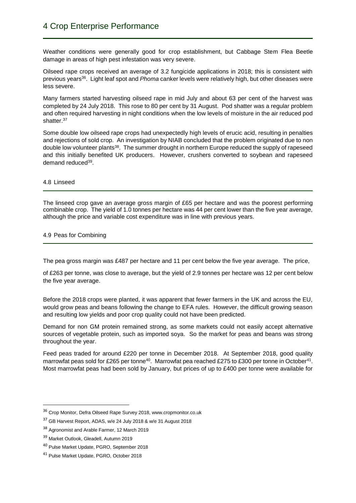Weather conditions were generally good for crop establishment, but Cabbage Stem Flea Beetle damage in areas of high pest infestation was very severe.

Oilseed rape crops received an average of 3.2 fungicide applications in 2018; this is consistent with previous years<sup>36</sup>. Light leaf spot and *Phoma* canker levels were relatively high, but other diseases were less severe.

Many farmers started harvesting oilseed rape in mid July and about 63 per cent of the harvest was completed by 24 July 2018. This rose to 80 per cent by 31 August. Pod shatter was a regular problem and often required harvesting in night conditions when the low levels of moisture in the air reduced pod shatter.<sup>37</sup>

Some double low oilseed rape crops had unexpectedly high levels of erucic acid, resulting in penalties and rejections of sold crop. An investigation by NIAB concluded that the problem originated due to non double low volunteer plants<sup>38</sup>. The summer drought in northern Europe reduced the supply of rapeseed and this initially benefited UK producers. However, crushers converted to soybean and rapeseed demand reduced<sup>39</sup>.

#### 4.8 Linseed

The linseed crop gave an average gross margin of £65 per hectare and was the poorest performing combinable crop. The yield of 1.0 tonnes per hectare was 44 per cent lower than the five year average, although the price and variable cost expenditure was in line with previous years.

# 4.9 Peas for Combining

The pea gross margin was £487 per hectare and 11 per cent below the five year average. The price,

of £263 per tonne, was close to average, but the yield of 2.9 tonnes per hectare was 12 per cent below the five year average.

Before the 2018 crops were planted, it was apparent that fewer farmers in the UK and across the EU, would grow peas and beans following the change to EFA rules. However, the difficult growing season and resulting low yields and poor crop quality could not have been predicted.

Demand for non GM protein remained strong, as some markets could not easily accept alternative sources of vegetable protein, such as imported soya. So the market for peas and beans was strong throughout the year.

Feed peas traded for around £220 per tonne in December 2018. At September 2018, good quality marrowfat peas sold for £265 per tonne<sup>40</sup>. Marrowfat pea reached £275 to £300 per tonne in October<sup>41</sup>. Most marrowfat peas had been sold by January, but prices of up to £400 per tonne were available for

<sup>36</sup> Crop Monitor, Defra Oilseed Rape Survey 2018, www.cropmonitor.co.uk

<sup>37</sup> GB Harvest Report, ADAS, w/e 24 July 2018 & w/e 31 August 2018

<sup>38</sup> Agronomist and Arable Farmer, 12 March 2019

<sup>39</sup> Market Outlook, Gleadell, Autumn 2019

<sup>40</sup> Pulse Market Update, PGRO, September 2018

<sup>41</sup> Pulse Market Update, PGRO, October 2018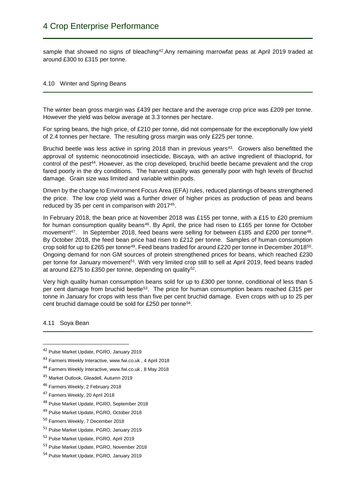sample that showed no signs of bleaching<sup>42</sup>.Any remaining marrowfat peas at April 2019 traded at around £300 to £315 per tonne.

# 4.10 Winter and Spring Beans

The winter bean gross margin was £439 per hectare and the average crop price was £209 per tonne. However the yield was below average at 3.3 tonnes per hectare.

For spring beans, the high price, of £210 per tonne, did not compensate for the exceptionally low yield of 2.4 tonnes per hectare. The resulting gross margin was only £225 per tonne.

Bruchid beetle was less active in spring 2018 than in previous years<sup>43</sup>. Growers also benefitted the approval of systemic neonocotinoid insecticide, Biscaya, with an active ingredient of thiacloprid, for control of the pest<sup>44</sup>. However, as the crop developed, bruchid beetle became prevalent and the crop fared poorly in the dry conditions. The harvest quality was generally poor with high levels of Bruchid damage. Grain size was limited and variable within pods.

Driven by the change to Environment Focus Area (EFA) rules, reduced plantings of beans strengthened the price. The low crop yield was a further driver of higher prices as production of peas and beans reduced by 35 per cent in comparison with 2017<sup>45</sup>.

In February 2018, the bean price at November 2018 was £155 per tonne, with a £15 to £20 premium for human consumption quality beans<sup>46</sup>. By April, the price had risen to £165 per tonne for October movement<sup>47</sup>. In September 2018, feed beans were selling for between £185 and £200 per tonne<sup>48</sup>. By October 2018, the feed bean price had risen to £212 per tonne. Samples of human consumption crop sold for up to £265 per tonne<sup>49</sup>. Feed beans traded for around £220 per tonne in December 2018<sup>50</sup>. Ongoing demand for non GM sources of protein strengthened prices for beans, which reached £230 per tonne for January movement<sup>51</sup>. With very limited crop still to sell at April 2019, feed beans traded at around £275 to £350 per tonne, depending on quality<sup>52</sup>.

Very high quality human consumption beans sold for up to £300 per tonne, conditional of less than 5 per cent damage from bruchid beetle<sup>53</sup>. The price for human consumption beans reached £315 per tonne in January for crops with less than five per cent bruchid damage. Even crops with up to 25 per cent bruchid damage could be sold for £250 per tonne<sup>54</sup>.

4.11 Soya Bean

- <sup>47</sup> Farmers Weekly, 20 April 2018
- <sup>48</sup> Pulse Market Update, PGRO, September 2018
- <sup>49</sup> Pulse Market Update, PGRO, October 2018
- <sup>50</sup> Farmers Weekly, 7 December 2018
- <sup>51</sup> Pulse Market Update, PGRO, January 2019
- <sup>52</sup> Pulse Market Update, PGRO, April 2019
- <sup>53</sup> Pulse Market Update, PGRO, November 2018
- <sup>54</sup> Pulse Market Update, PGRO, January 2019

<sup>42</sup> Pulse Market Update, PGRO, January 2019

<sup>43</sup> Farmers Weekly Interactive, www.fwi.co.uk , 4 April 2018

<sup>44</sup> Farmers Weekly Interactive, www.fwi.co.uk , 8 May 2018

<sup>45</sup> Market Outlook, Gleadell, Autumn 2019

<sup>46</sup> Farmers Weekly, 2 February 2018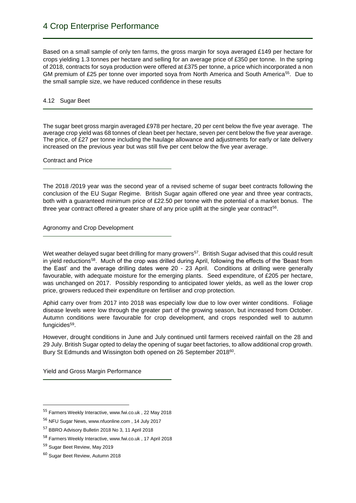Based on a small sample of only ten farms, the gross margin for soya averaged £149 per hectare for crops yielding 1.3 tonnes per hectare and selling for an average price of £350 per tonne. In the spring of 2018, contracts for soya production were offered at £375 per tonne, a price which incorporated a non GM premium of £25 per tonne over imported soya from North America and South America<sup>55</sup>. Due to the small sample size, we have reduced confidence in these results

### 4.12 Sugar Beet

The sugar beet gross margin averaged £978 per hectare, 20 per cent below the five year average. The average crop yield was 68 tonnes of clean beet per hectare, seven per cent below the five year average. The price, of £27 per tonne including the haulage allowance and adjustments for early or late delivery increased on the previous year but was still five per cent below the five year average.

Contract and Price

The 2018 /2019 year was the second year of a revised scheme of sugar beet contracts following the conclusion of the EU Sugar Regime. British Sugar again offered one year and three year contracts, both with a guaranteed minimum price of £22.50 per tonne with the potential of a market bonus. The three year contract offered a greater share of any price uplift at the single year contract<sup>56</sup>.

Agronomy and Crop Development

Wet weather delayed sugar beet drilling for many growers<sup>57</sup>. British Sugar advised that this could result in yield reductions<sup>58</sup>. Much of the crop was drilled during April, following the effects of the 'Beast from the East' and the average drilling dates were 20 - 23 April. Conditions at drilling were generally favourable, with adequate moisture for the emerging plants. Seed expenditure, of £205 per hectare, was unchanged on 2017. Possibly responding to anticipated lower yields, as well as the lower crop price, growers reduced their expenditure on fertiliser and crop protection.

Aphid carry over from 2017 into 2018 was especially low due to low over winter conditions. Foliage disease levels were low through the greater part of the growing season, but increased from October. Autumn conditions were favourable for crop development, and crops responded well to autumn fungicides<sup>59</sup>.

However, drought conditions in June and July continued until farmers received rainfall on the 28 and 29 July. British Sugar opted to delay the opening of sugar beet factories, to allow additional crop growth. Bury St Edmunds and Wissington both opened on 26 September 2018<sup>60</sup>.

Yield and Gross Margin Performance

<sup>55</sup> Farmers Weekly Interactive, www.fwi.co.uk , 22 May 2018

<sup>56</sup> NFU Sugar News, www.nfuonline.com , 14 July 2017

<sup>57</sup> BBRO Advisory Bulletin 2018 No 3, 11 April 2018

<sup>58</sup> Farmers Weekly Interactive, www.fwi.co.uk , 17 April 2018

<sup>59</sup> Sugar Beet Review, May 2019

<sup>60</sup> Sugar Beet Review, Autumn 2018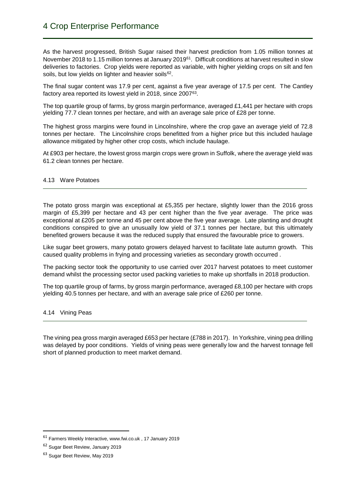As the harvest progressed. British Sugar raised their harvest prediction from 1.05 million tonnes at November 2018 to 1.15 million tonnes at January 2019<sup>61</sup>. Difficult conditions at harvest resulted in slow deliveries to factories. Crop yields were reported as variable, with higher yielding crops on silt and fen soils, but low yields on lighter and heavier soils<sup>62</sup>.

The final sugar content was 17.9 per cent, against a five year average of 17.5 per cent. The Cantley factory area reported its lowest yield in 2018, since 2007<sup>63</sup>.

The top quartile group of farms, by gross margin performance, averaged  $£1,441$  per hectare with crops yielding 77.7 clean tonnes per hectare, and with an average sale price of £28 per tonne.

The highest gross margins were found in Lincolnshire, where the crop gave an average yield of 72.8 tonnes per hectare. The Lincolnshire crops benefitted from a higher price but this included haulage allowance mitigated by higher other crop costs, which include haulage.

At £903 per hectare, the lowest gross margin crops were grown in Suffolk, where the average yield was 61.2 clean tonnes per hectare.

# 4.13 Ware Potatoes

The potato gross margin was exceptional at £5,355 per hectare, slightly lower than the 2016 gross margin of £5,399 per hectare and 43 per cent higher than the five year average. The price was exceptional at £205 per tonne and 45 per cent above the five year average. Late planting and drought conditions conspired to give an unusually low yield of 37.1 tonnes per hectare, but this ultimately benefited growers because it was the reduced supply that ensured the favourable price to growers.

Like sugar beet growers, many potato growers delayed harvest to facilitate late autumn growth. This caused quality problems in frying and processing varieties as secondary growth occurred .

The packing sector took the opportunity to use carried over 2017 harvest potatoes to meet customer demand whilst the processing sector used packing varieties to make up shortfalls in 2018 production.

The top quartile group of farms, by gross margin performance, averaged £8,100 per hectare with crops yielding 40.5 tonnes per hectare, and with an average sale price of £260 per tonne.

#### 4.14 Vining Peas

The vining pea gross margin averaged £653 per hectare (£788 in 2017). In Yorkshire, vining pea drilling was delayed by poor conditions. Yields of vining peas were generally low and the harvest tonnage fell short of planned production to meet market demand.

<sup>61</sup> Farmers Weekly Interactive, www.fwi.co.uk , 17 January 2019

<sup>62</sup> Sugar Beet Review, January 2019

<sup>63</sup> Sugar Beet Review, May 2019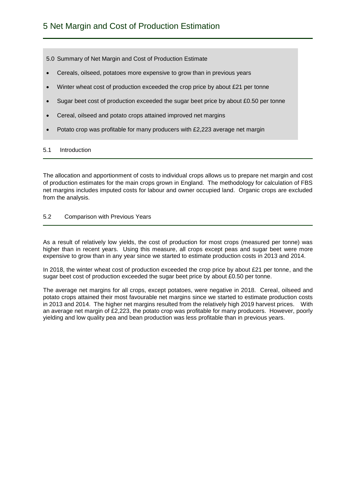5.0 Summary of Net Margin and Cost of Production Estimate

- Cereals, oilseed, potatoes more expensive to grow than in previous years
- Winter wheat cost of production exceeded the crop price by about £21 per tonne
- Sugar beet cost of production exceeded the sugar beet price by about £0.50 per tonne
- Cereal, oilseed and potato crops attained improved net margins
- Potato crop was profitable for many producers with £2,223 average net margin

### 5.1 Introduction

The allocation and apportionment of costs to individual crops allows us to prepare net margin and cost of production estimates for the main crops grown in England. The methodology for calculation of FBS net margins includes imputed costs for labour and owner occupied land. Organic crops are excluded from the analysis.

#### 5.2 Comparison with Previous Years

As a result of relatively low yields, the cost of production for most crops (measured per tonne) was higher than in recent years. Using this measure, all crops except peas and sugar beet were more expensive to grow than in any year since we started to estimate production costs in 2013 and 2014.

In 2018, the winter wheat cost of production exceeded the crop price by about £21 per tonne, and the sugar beet cost of production exceeded the sugar beet price by about £0.50 per tonne.

The average net margins for all crops, except potatoes, were negative in 2018. Cereal, oilseed and potato crops attained their most favourable net margins since we started to estimate production costs in 2013 and 2014. The higher net margins resulted from the relatively high 2019 harvest prices. With an average net margin of £2,223, the potato crop was profitable for many producers. However, poorly yielding and low quality pea and bean production was less profitable than in previous years.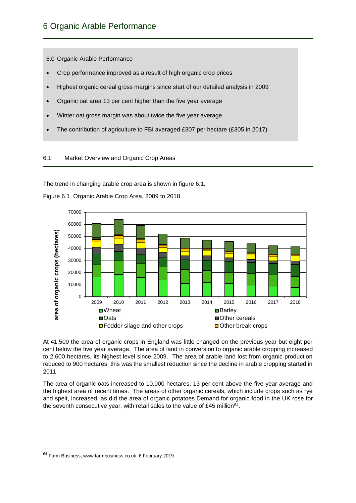6.0 Organic Arable Performance

- Crop performance improved as a result of high organic crop prices
- Highest organic cereal gross margins since start of our detailed analysis in 2009
- Organic oat area 13 per cent higher than the five year average
- Winter oat gross margin was about twice the five year average.
- The contribution of agriculture to FBI averaged £307 per hectare (£305 in 2017)

# 6.1 Market Overview and Organic Crop Areas

The trend in changing arable crop area is shown in figure 6.1.



Figure 6.1 Organic Arable Crop Area, 2009 to 2018

At 41,500 the area of organic crops in England was little changed on the previous year but eight per cent below the five year average. The area of land in conversion to organic arable cropping increased to 2,600 hectares, its highest level since 2009. The area of arable land lost from organic production reduced to 900 hectares, this was the smallest reduction since the decline in arable cropping started in 2011.

The area of organic oats increased to 10,000 hectares, 13 per cent above the five year average and the highest area of recent times. The areas of other organic cereals, which include crops such as rye and spelt, increased, as did the area of organic potatoes.Demand for organic food in the UK rose for the seventh consecutive year, with retail sales to the value of £45 million<sup>64</sup>.

<sup>64</sup> Farm Business, www.farmbusiness.co.uk 6 February 2019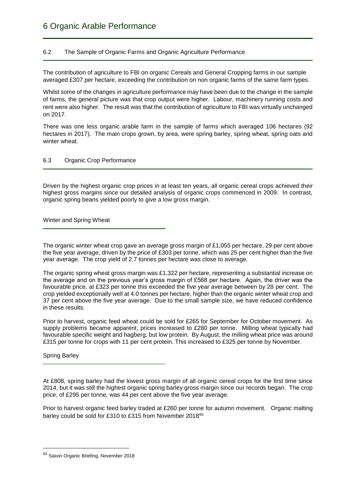# 6.2 The Sample of Organic Farms and Organic Agriculture Performance

The contribution of agriculture to FBI on organic Cereals and General Cropping farms in our sample averaged £307 per hectare, exceeding the contribution on non organic farms of the same farm types.

Whilst some of the changes in agriculture performance may have been due to the change in the sample of farms, the general picture was that crop output were higher. Labour, machinery running costs and rent were also higher. The result was that the contribution of agriculture to FBI was virtually unchanged on 2017.

There was one less organic arable farm in the sample of farms which averaged 106 hectares (92 hectares in 2017). The main crops grown, by area, were spring barley, spring wheat, spring oats and winter wheat.

# 6.3 Organic Crop Performance

Driven by the highest organic crop prices in at least ten years, all organic cereal crops achieved their highest gross margins since our detailed analysis of organic crops commenced in 2009. In contrast, organic spring beans yielded poorly to give a low gross margin.

Winter and Spring Wheat

The organic winter wheat crop gave an average gross margin of £1,055 per hectare, 29 per cent above the five year average, driven by the price of £303 per tonne, which was 25 per cent higher than the five year average. The crop yield of 2.7 tonnes per hectare was close to average.

The organic spring wheat gross margin was £1,322 per hectare, representing a substantial increase on the average and on the previous year's gross margin of £568 per hectare. Again, the driver was the favourable price, at £323 per tonne this exceeded the five year average between by 28 per cent. The crop yielded exceptionally well at 4.0 tonnes per hectare, higher than the organic winter wheat crop and 37 per cent above the five year average. Due to the small sample size, we have reduced confidence in these results.

Prior to harvest, organic feed wheat could be sold for £265 for September for October movement. As supply problems became apparent, prices increased to £280 per tonne. Milling wheat typically had favourable specific weight and hagberg, but low protein. By August, the milling wheat price was around £315 per tonne for crops with 11 per cent protein. This increased to £325 per tonne by November.

Spring Barley

**.** 

At £808, spring barley had the lowest gross margin of all organic cereal crops for the first time since 2014, but it was still the highest organic spring barley gross margin since our records began. The crop price, of £295 per tonne, was 44 per cent above the five year average.

Prior to harvest organic feed barley traded at £260 per tonne for autumn movement. Organic malting barley could be sold for £310 to £315 from November 2018<sup>65</sup>

<sup>65</sup> Saxon Organic Briefing, November 2018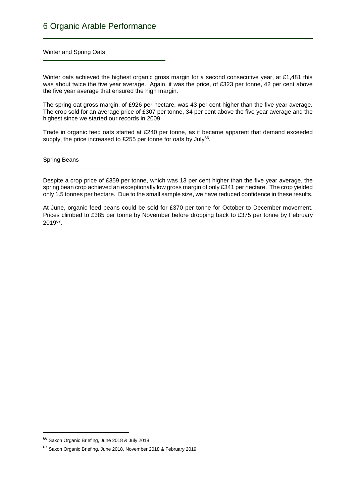Winter and Spring Oats

Winter oats achieved the highest organic gross margin for a second consecutive year, at £1,481 this was about twice the five year average. Again, it was the price, of £323 per tonne, 42 per cent above the five year average that ensured the high margin.

The spring oat gross margin, of £926 per hectare, was 43 per cent higher than the five year average. The crop sold for an average price of £307 per tonne, 34 per cent above the five year average and the highest since we started our records in 2009.

Trade in organic feed oats started at £240 per tonne, as it became apparent that demand exceeded supply, the price increased to £255 per tonne for oats by July<sup>66</sup>.

Spring Beans

Despite a crop price of £359 per tonne, which was 13 per cent higher than the five year average, the spring bean crop achieved an exceptionally low gross margin of only £341 per hectare. The crop vielded only 1.5 tonnes per hectare. Due to the small sample size, we have reduced confidence in these results.

At June, organic feed beans could be sold for £370 per tonne for October to December movement. Prices climbed to £385 per tonne by November before dropping back to £375 per tonne by February 2019<sup>67</sup> .

 $\overline{\phantom{a}}$ 

<sup>66</sup> Saxon Organic Briefing, June 2018 & July 2018

<sup>67</sup> Saxon Organic Briefing, June 2018, November 2018 & February 2019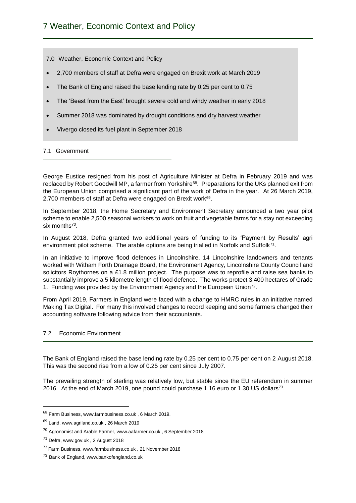- 7.0 Weather, Economic Context and Policy
- 2,700 members of staff at Defra were engaged on Brexit work at March 2019
- The Bank of England raised the base lending rate by 0.25 per cent to 0.75
- The 'Beast from the East' brought severe cold and windy weather in early 2018
- Summer 2018 was dominated by drought conditions and dry harvest weather
- Vivergo closed its fuel plant in September 2018

# 7.1 Government

George Eustice resigned from his post of Agriculture Minister at Defra in February 2019 and was replaced by Robert Goodwill MP, a farmer from Yorkshire<sup>68</sup>. Preparations for the UKs planned exit from the European Union comprised a significant part of the work of Defra in the year. At 26 March 2019, 2,700 members of staff at Defra were engaged on Brexit work<sup>69</sup>.

In September 2018, the Home Secretary and Environment Secretary announced a two year pilot scheme to enable 2,500 seasonal workers to work on fruit and vegetable farms for a stay not exceeding six months<sup>70</sup>.

In August 2018, Defra granted two additional years of funding to its 'Payment by Results' agri environment pilot scheme. The arable options are being trialled in Norfolk and Suffolk<sup>71</sup>.

In an initiative to improve flood defences in Lincolnshire, 14 Lincolnshire landowners and tenants worked with Witham Forth Drainage Board, the Environment Agency, Lincolnshire County Council and solicitors Roythornes on a £1.8 million project. The purpose was to reprofile and raise sea banks to substantially improve a 5 kilometre length of flood defence. The works protect 3,400 hectares of Grade 1. Funding was provided by the Environment Agency and the European Union<sup>72</sup>.

From April 2019, Farmers in England were faced with a change to HMRC rules in an initiative named Making Tax Digital. For many this involved changes to record keeping and some farmers changed their accounting software following advice from their accountants.

# 7.2 Economic Environment

The Bank of England raised the base lending rate by 0.25 per cent to 0.75 per cent on 2 August 2018. This was the second rise from a low of 0.25 per cent since July 2007.

The prevailing strength of sterling was relatively low, but stable since the EU referendum in summer 2016. At the end of March 2019, one pound could purchase 1.16 euro or 1.30 US dollars<sup>73</sup>.

<sup>68</sup> Farm Business, www.farmbusiness.co.uk , 6 March 2019.

<sup>69</sup> Land, www.agriland.co.uk , 26 March 2019

<sup>70</sup> Agronomist and Arable Farmer, www.aafarmer.co.uk , 6 September 2018

<sup>&</sup>lt;sup>71</sup> Defra, www.gov.uk, 2 August 2018

<sup>72</sup> Farm Business, www.farmbusiness.co.uk , 21 November 2018

<sup>&</sup>lt;sup>73</sup> Bank of England, www.bankofengland.co.uk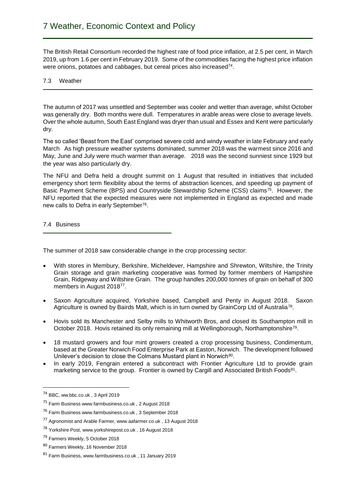The British Retail Consortium recorded the highest rate of food price inflation, at 2.5 per cent, in March 2019, up from 1.6 per cent in February 2019. Some of the commodities facing the highest price inflation were onions, potatoes and cabbages, but cereal prices also increased<sup>74</sup>.

# 7.3 Weather

The autumn of 2017 was unsettled and September was cooler and wetter than average, whilst October was generally dry. Both months were dull. Temperatures in arable areas were close to average levels. Over the whole autumn, South East England was dryer than usual and Essex and Kent were particularly dry.

The so called 'Beast from the East' comprised severe cold and windy weather in late February and early March As high pressure weather systems dominated, summer 2018 was the warmest since 2016 and May, June and July were much warmer than average. 2018 was the second sunniest since 1929 but the year was also particularly dry.

The NFU and Defra held a drought summit on 1 August that resulted in initiatives that included emergency short term flexibility about the terms of abstraction licences, and speeding up payment of Basic Payment Scheme (BPS) and Countryside Stewardship Scheme (CSS) claims<sup>75</sup>. However, the NFU reported that the expected measures were not implemented in England as expected and made new calls to Defra in early September<sup>76</sup>.

7.4 Business

The summer of 2018 saw considerable change in the crop processing sector:

- With stores in Membury, Berkshire, Micheldever, Hampshire and Shrewton, Wiltshire, the Trinity Grain storage and grain marketing cooperative was formed by former members of Hampshire Grain, Ridgeway and Wiltshire Grain. The group handles 200,000 tonnes of grain on behalf of 300 members in August 2018<sup>77</sup>.
- Saxon Agriculture acquired, Yorkshire based, Campbell and Penty in August 2018. Saxon Agriculture is owned by Bairds Malt, which is in turn owned by GrainCorp Ltd of Australia<sup>78</sup>.
- Hovis sold its Manchester and Selby mills to Whitworth Bros, and closed its Southampton mill in October 2018. Hovis retained its only remaining mill at Wellingborough, Northamptonshire<sup>79</sup>.
- 18 mustard growers and four mint growers created a crop processing business, Condimentum, based at the Greater Norwich Food Enterprise Park at Easton, Norwich. The development followed Unilever's decision to close the Colmans Mustard plant in Norwich<sup>80</sup>.
- In early 2019, Fengrain entered a subcontract with Frontier Agriculture Ltd to provide grain marketing service to the group. Frontier is owned by Cargill and Associated British Foods<sup>81</sup>.

 $\overline{\phantom{a}}$ 

<sup>74</sup> BBC, ww.bbc.co.uk , 3 April 2019

<sup>75</sup> Farm Business www.farmbusiness.co.uk , 2 August 2018

<sup>76</sup> Farm Business www.farmbusiness.co.uk , 3 September 2018

<sup>77</sup> Agronomist and Arable Farmer, www.aafarmer.co.uk , 13 August 2018

<sup>78</sup> Yorkshire Post, www.yorkshirepost.co.uk , 16 August 2018

<sup>&</sup>lt;sup>79</sup> Farmers Weekly, 5 October 2018

<sup>80</sup> Farmers Weekly, 16 November 2018

<sup>81</sup> Farm Business, www.farmbusiness.co.uk , 11 January 2019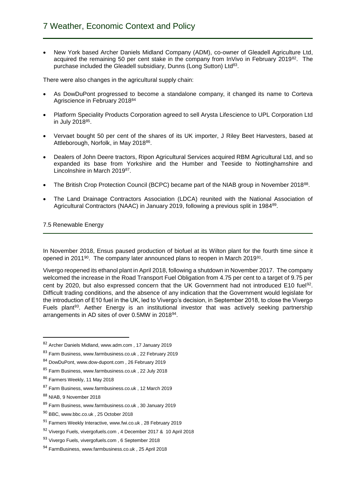New York based Archer Daniels Midland Company (ADM), co-owner of Gleadell Agriculture Ltd, acquired the remaining 50 per cent stake in the company from InVivo in February 2019<sup>82</sup>. The purchase included the Gleadell subsidiary, Dunns (Long Sutton) Ltd<sup>83</sup>.

There were also changes in the agricultural supply chain:

- As DowDuPont progressed to become a standalone company, it changed its name to Corteva Agriscience in February 2018<sup>84</sup>
- Platform Speciality Products Corporation agreed to sell Arysta Lifescience to UPL Corporation Ltd in July 2018<sup>85</sup>.
- Vervaet bought 50 per cent of the shares of its UK importer, J Riley Beet Harvesters, based at Attleborough, Norfolk, in May 2018<sup>86</sup>.
- Dealers of John Deere tractors, Ripon Agricultural Services acquired RBM Agricultural Ltd, and so expanded its base from Yorkshire and the Humber and Teeside to Nottinghamshire and Lincolnshire in March 201987.
- The British Crop Protection Council (BCPC) became part of the NIAB group in November 2018<sup>88</sup>.
- The Land Drainage Contractors Association (LDCA) reunited with the National Association of Agricultural Contractors (NAAC) in January 2019, following a previous split in 1984<sup>89</sup>.

# 7.5 Renewable Energy

In November 2018, Ensus paused production of biofuel at its Wilton plant for the fourth time since it opened in 2011<sup>90</sup>. The company later announced plans to reopen in March 2019<sup>91</sup>.

Vivergo reopened its ethanol plant in April 2018, following a shutdown in November 2017. The company welcomed the increase in the Road Transport Fuel Obligation from 4.75 per cent to a target of 9.75 per cent by 2020, but also expressed concern that the UK Government had not introduced E10 fuel<sup>92</sup>. Difficult trading conditions, and the absence of any indication that the Government would legislate for the introduction of E10 fuel in the UK, led to Vivergo's decision, in September 2018, to close the Vivergo Fuels plant<sup>93</sup>. Aether Energy is an institutional investor that was actively seeking partnership arrangements in AD sites of over 0.5MW in 2018<sup>94</sup>.

1

- <sup>87</sup> Farm Business, www.farmbusiness.co.uk , 12 March 2019
- <sup>88</sup> NIAB, 9 November 2018
- <sup>89</sup> Farm Business, www.farmbusiness.co.uk , 30 January 2019
- <sup>90</sup> BBC, www.bbc.co.uk , 25 October 2018

<sup>82</sup> Archer Daniels Midland, www.adm.com , 17 January 2019

<sup>83</sup> Farm Business, www.farmbusiness.co.uk, 22 February 2019

<sup>84</sup> DowDuPont, www.dow-dupont.com , 26 February 2019

<sup>85</sup> Farm Business, www.farmbusiness.co.uk , 22 July 2018

<sup>86</sup> Farmers Weekly, 11 May 2018

<sup>91</sup> Farmers Weekly Interactive, www.fwi.co.uk , 28 February 2019

<sup>92</sup> Vivergo Fuels, vivergofuels.com , 4 December 2017 & 10 April 2018

<sup>93</sup> Vivergo Fuels, vivergofuels.com , 6 September 2018

<sup>94</sup> FarmBusiness, www.farmbusiness.co.uk , 25 April 2018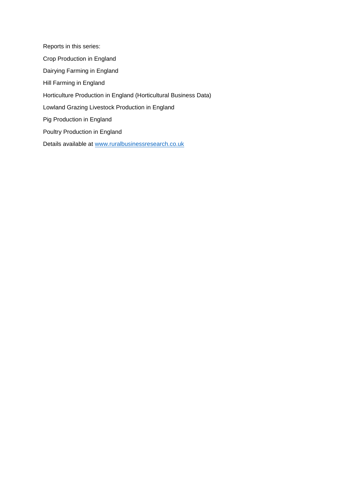Reports in this series: Crop Production in England Dairying Farming in England Hill Farming in England Horticulture Production in England (Horticultural Business Data) Lowland Grazing Livestock Production in England Pig Production in England Poultry Production in England Details available at [www.ruralbusinessresearch.co.uk](http://www.ruralbusinessresearch.co.uk/)